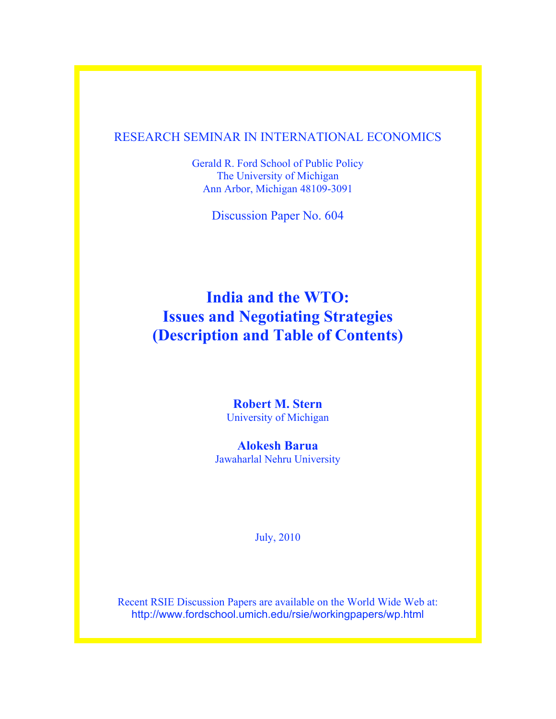### RESEARCH SEMINAR IN INTERNATIONAL ECONOMICS

Gerald R. Ford School of Public Policy The University of Michigan Ann Arbor, Michigan 48109-3091

Discussion Paper No. 604

## **India and the WTO: Issues and Negotiating Strategies (Description and Table of Contents)**

**Robert M. Stern** University of Michigan

**Alokesh Barua**  Jawaharlal Nehru University

July, 2010

Recent RSIE Discussion Papers are available on the World Wide Web at: http://www.fordschool.umich.edu/rsie/workingpapers/wp.html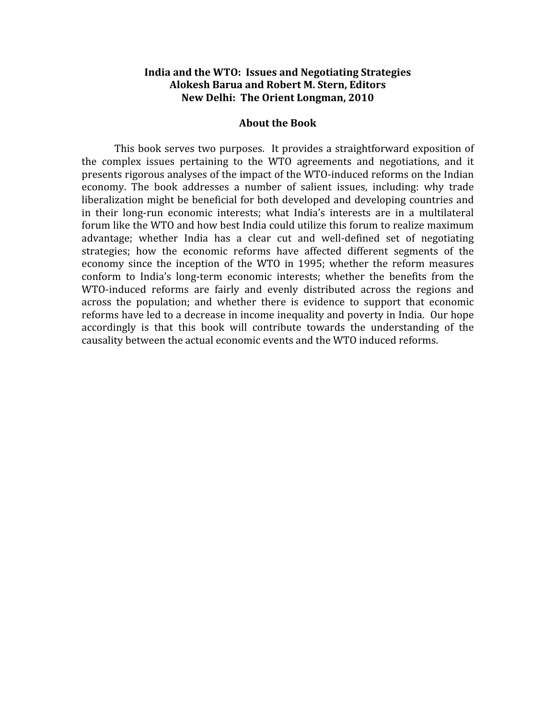#### **India
and
the
WTO:

Issues
and
Negotiating
Strategies Alokesh
Barua
and
Robert
M.
Stern,
Editors New
Delhi:

The
Orient
Longman,
2010**

#### **About
the
Book**

This
book
serves two
purposes.

 It
provides a
straightforward
exposition
of the complex issues pertaining to the WTO agreements and negotiations, and it presents rigorous analyses of the impact of the WTO-induced reforms on the Indian economy. The book addresses a number of salient issues, including: why trade liberalization might be beneficial for both developed and developing countries and in their long-run economic interests; what India's interests are in a multilateral forum like the WTO and how best India could utilize this forum to realize maximum advantage; whether India has a clear cut and well-defined set of negotiating strategies; how the economic reforms have affected different segments of the economy since the inception of the WTO in 1995; whether the reform measures conform to India's long-term economic interests; whether the benefits from the WTO-induced reforms are fairly and evenly distributed across the regions and across the population; and whether there is evidence to support that economic reforms have led to a decrease in income inequality and poverty in India. Our hope accordingly is that this book will contribute towards the understanding of the causality
between
the
actual
economic
events
and
the
WTO
induced
reforms.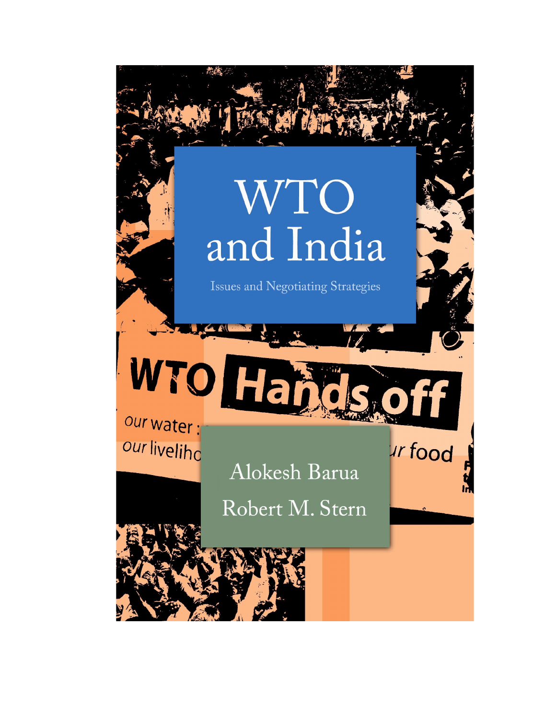# WTO and India

Issues and Negotiating Strategies

WTOHE our water : our liveliho

Alokesh Barua

ur food

Robert M. Stern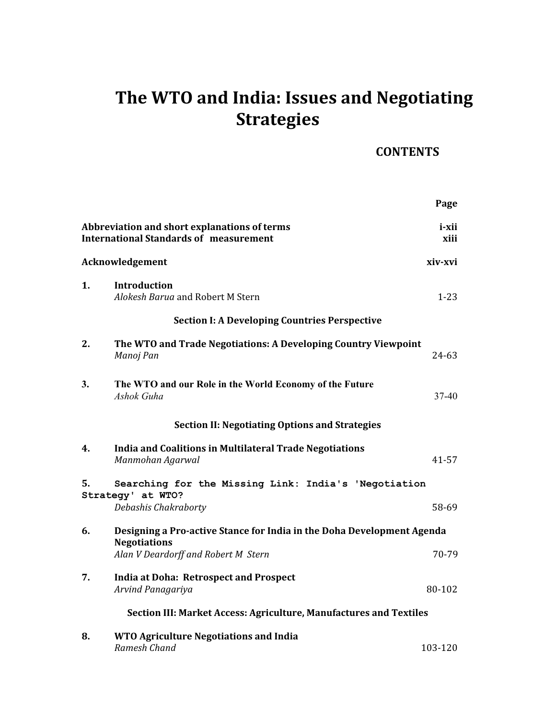# **The
WTO
and
India:
Issues
and
Negotiating Strategies**

## **CONTENTS**

|    |                                                                                               | Page          |
|----|-----------------------------------------------------------------------------------------------|---------------|
|    | Abbreviation and short explanations of terms<br><b>International Standards of measurement</b> | i-xii<br>xiii |
|    | Acknowledgement                                                                               | xiv-xvi       |
| 1. | Introduction<br>Alokesh Barua and Robert M Stern                                              | $1 - 23$      |
|    | <b>Section I: A Developing Countries Perspective</b>                                          |               |
| 2. | The WTO and Trade Negotiations: A Developing Country Viewpoint<br>Manoj Pan                   | 24-63         |
| 3. | The WTO and our Role in the World Economy of the Future<br>Ashok Guha                         | $37 - 40$     |
|    | <b>Section II: Negotiating Options and Strategies</b>                                         |               |
| 4. | India and Coalitions in Multilateral Trade Negotiations<br>Manmohan Agarwal                   | 41-57         |
| 5. | Searching for the Missing Link: India's 'Negotiation                                          |               |
|    | Strategy' at WTO?<br>Debashis Chakraborty                                                     | 58-69         |
| 6. | Designing a Pro-active Stance for India in the Doha Development Agenda                        |               |
|    | <b>Negotiations</b><br>Alan V Deardorff and Robert M Stern                                    | 70-79         |
| 7. | <b>India at Doha: Retrospect and Prospect</b><br>Arvind Panagariya                            | 80-102        |
|    | Section III: Market Access: Agriculture, Manufactures and Textiles                            |               |
| 8. | <b>WTO Agriculture Negotiations and India</b><br>Ramesh Chand                                 | 103-120       |